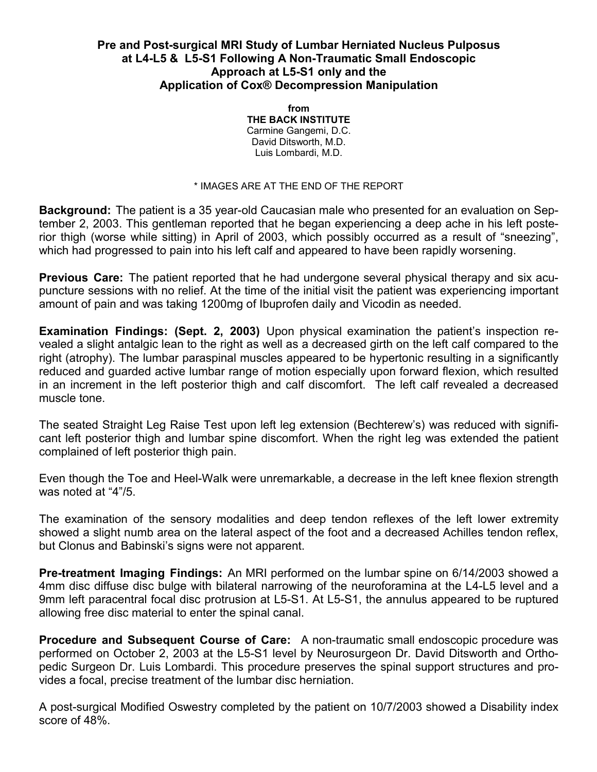#### **Pre and Post-surgical MRI Study of Lumbar Herniated Nucleus Pulposus at L4-L5 & L5-S1 Following A Non-Traumatic Small Endoscopic Approach at L5-S1 only and the Application of Cox® Decompression Manipulation**

**from THE BACK INSTITUTE**  Carmine Gangemi, D.C. David Ditsworth, M.D. Luis Lombardi, M.D.

#### \* IMAGES ARE AT THE END OF THE REPORT

**Background:** The patient is a 35 year-old Caucasian male who presented for an evaluation on September 2, 2003. This gentleman reported that he began experiencing a deep ache in his left posterior thigh (worse while sitting) in April of 2003, which possibly occurred as a result of "sneezing", which had progressed to pain into his left calf and appeared to have been rapidly worsening.

**Previous Care:** The patient reported that he had undergone several physical therapy and six acupuncture sessions with no relief. At the time of the initial visit the patient was experiencing important amount of pain and was taking 1200mg of Ibuprofen daily and Vicodin as needed.

**Examination Findings: (Sept. 2, 2003)** Upon physical examination the patient's inspection revealed a slight antalgic lean to the right as well as a decreased girth on the left calf compared to the right (atrophy). The lumbar paraspinal muscles appeared to be hypertonic resulting in a significantly reduced and guarded active lumbar range of motion especially upon forward flexion, which resulted in an increment in the left posterior thigh and calf discomfort. The left calf revealed a decreased muscle tone.

The seated Straight Leg Raise Test upon left leg extension (Bechterew's) was reduced with significant left posterior thigh and lumbar spine discomfort. When the right leg was extended the patient complained of left posterior thigh pain.

Even though the Toe and Heel-Walk were unremarkable, a decrease in the left knee flexion strength was noted at "4"/5.

The examination of the sensory modalities and deep tendon reflexes of the left lower extremity showed a slight numb area on the lateral aspect of the foot and a decreased Achilles tendon reflex, but Clonus and Babinski's signs were not apparent.

**Pre-treatment Imaging Findings:** An MRI performed on the lumbar spine on 6/14/2003 showed a 4mm disc diffuse disc bulge with bilateral narrowing of the neuroforamina at the L4-L5 level and a 9mm left paracentral focal disc protrusion at L5-S1. At L5-S1, the annulus appeared to be ruptured allowing free disc material to enter the spinal canal.

**Procedure and Subsequent Course of Care:** A non-traumatic small endoscopic procedure was performed on October 2, 2003 at the L5-S1 level by Neurosurgeon Dr. David Ditsworth and Orthopedic Surgeon Dr. Luis Lombardi. This procedure preserves the spinal support structures and provides a focal, precise treatment of the lumbar disc herniation.

A post-surgical Modified Oswestry completed by the patient on 10/7/2003 showed a Disability index score of 48%.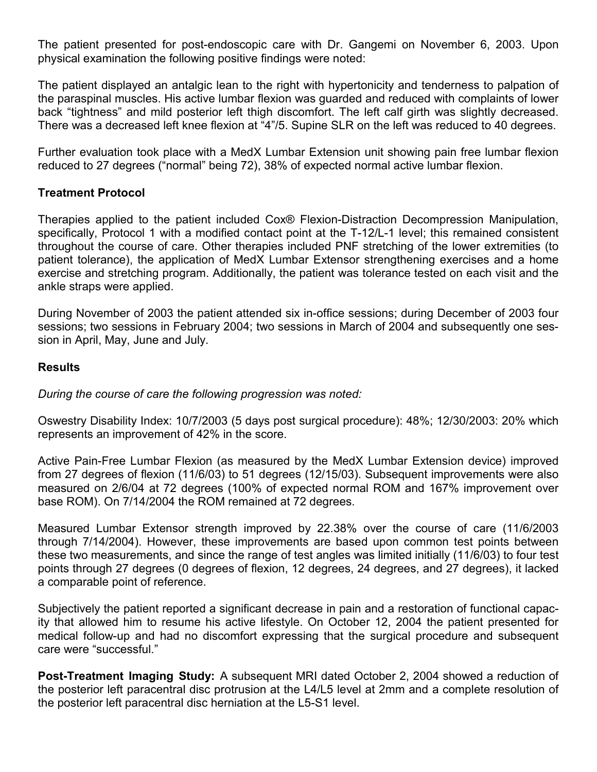The patient presented for post-endoscopic care with Dr. Gangemi on November 6, 2003. Upon physical examination the following positive findings were noted:

The patient displayed an antalgic lean to the right with hypertonicity and tenderness to palpation of the paraspinal muscles. His active lumbar flexion was guarded and reduced with complaints of lower back "tightness" and mild posterior left thigh discomfort. The left calf girth was slightly decreased. There was a decreased left knee flexion at "4"/5. Supine SLR on the left was reduced to 40 degrees.

Further evaluation took place with a MedX Lumbar Extension unit showing pain free lumbar flexion reduced to 27 degrees ("normal" being 72), 38% of expected normal active lumbar flexion.

## **Treatment Protocol**

Therapies applied to the patient included Cox® Flexion-Distraction Decompression Manipulation, specifically, Protocol 1 with a modified contact point at the T-12/L-1 level; this remained consistent throughout the course of care. Other therapies included PNF stretching of the lower extremities (to patient tolerance), the application of MedX Lumbar Extensor strengthening exercises and a home exercise and stretching program. Additionally, the patient was tolerance tested on each visit and the ankle straps were applied.

During November of 2003 the patient attended six in-office sessions; during December of 2003 four sessions; two sessions in February 2004; two sessions in March of 2004 and subsequently one session in April, May, June and July.

## **Results**

*During the course of care the following progression was noted:* 

Oswestry Disability Index: 10/7/2003 (5 days post surgical procedure): 48%; 12/30/2003: 20% which represents an improvement of 42% in the score.

Active Pain-Free Lumbar Flexion (as measured by the MedX Lumbar Extension device) improved from 27 degrees of flexion (11/6/03) to 51 degrees (12/15/03). Subsequent improvements were also measured on 2/6/04 at 72 degrees (100% of expected normal ROM and 167% improvement over base ROM). On 7/14/2004 the ROM remained at 72 degrees.

Measured Lumbar Extensor strength improved by 22.38% over the course of care (11/6/2003 through 7/14/2004). However, these improvements are based upon common test points between these two measurements, and since the range of test angles was limited initially (11/6/03) to four test points through 27 degrees (0 degrees of flexion, 12 degrees, 24 degrees, and 27 degrees), it lacked a comparable point of reference.

Subjectively the patient reported a significant decrease in pain and a restoration of functional capacity that allowed him to resume his active lifestyle. On October 12, 2004 the patient presented for medical follow-up and had no discomfort expressing that the surgical procedure and subsequent care were "successful."

**Post-Treatment Imaging Study:** A subsequent MRI dated October 2, 2004 showed a reduction of the posterior left paracentral disc protrusion at the L4/L5 level at 2mm and a complete resolution of the posterior left paracentral disc herniation at the L5-S1 level.